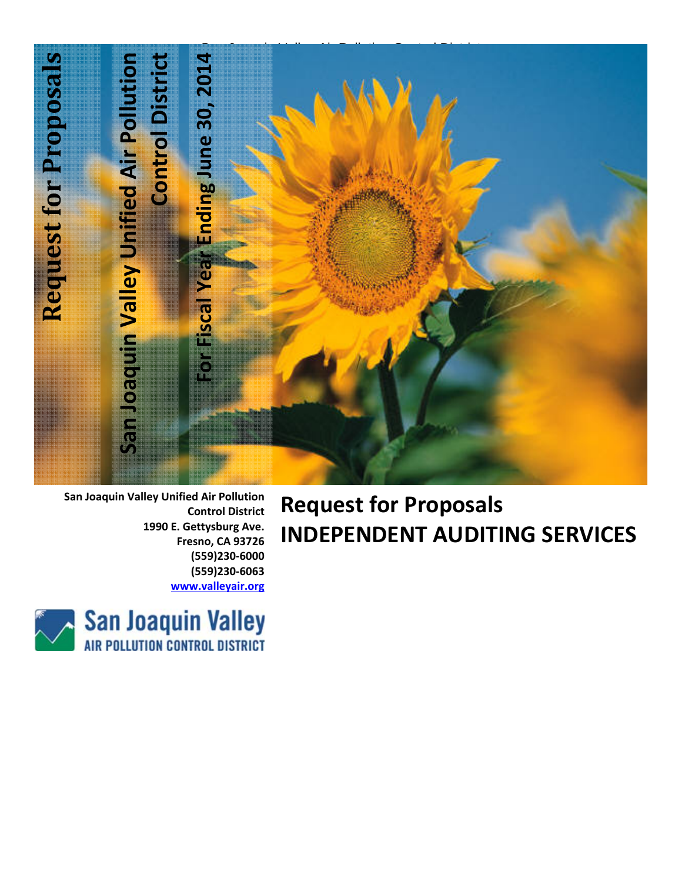

**San Joaquin Valley Unified Air Pollution Control District 1990 E. Gettysburg Ave. Fresno, CA 93726 (559)230‐6000 (559)230‐6063 www.valleyair.org**

# **Request for Proposals INDEPENDENT AUDITING SERVICES**

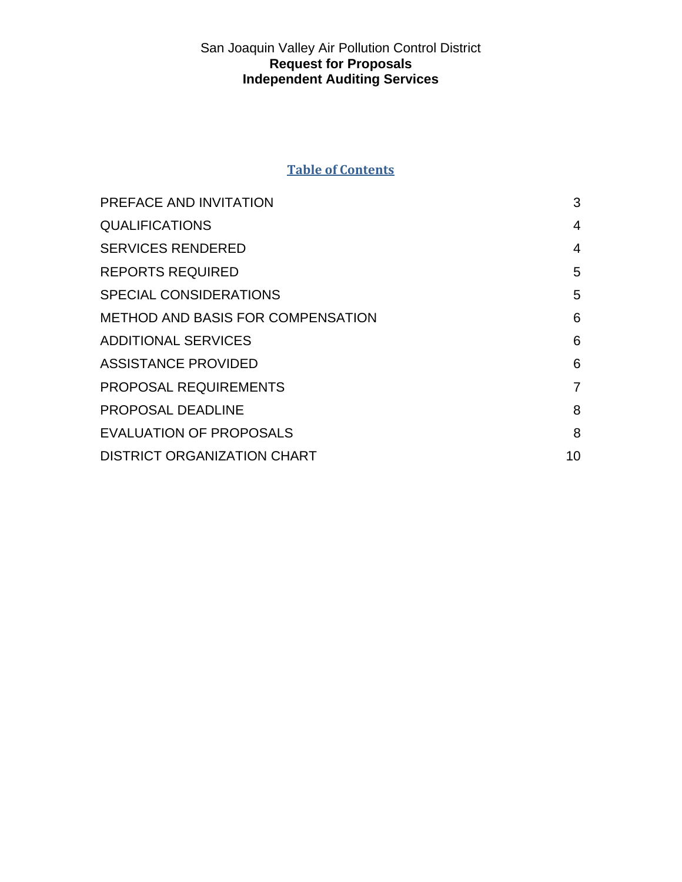## **Table of Contents**

| PREFACE AND INVITATION             | 3  |
|------------------------------------|----|
| <b>QUALIFICATIONS</b>              | 4  |
| <b>SERVICES RENDERED</b>           | 4  |
| <b>REPORTS REQUIRED</b>            | 5  |
| <b>SPECIAL CONSIDERATIONS</b>      | 5  |
| METHOD AND BASIS FOR COMPENSATION  | 6  |
| <b>ADDITIONAL SERVICES</b>         | 6  |
| <b>ASSISTANCE PROVIDED</b>         | 6  |
| <b>PROPOSAL REQUIREMENTS</b>       | 7  |
| <b>PROPOSAL DEADLINE</b>           | 8  |
| <b>EVALUATION OF PROPOSALS</b>     | 8  |
| <b>DISTRICT ORGANIZATION CHART</b> | 10 |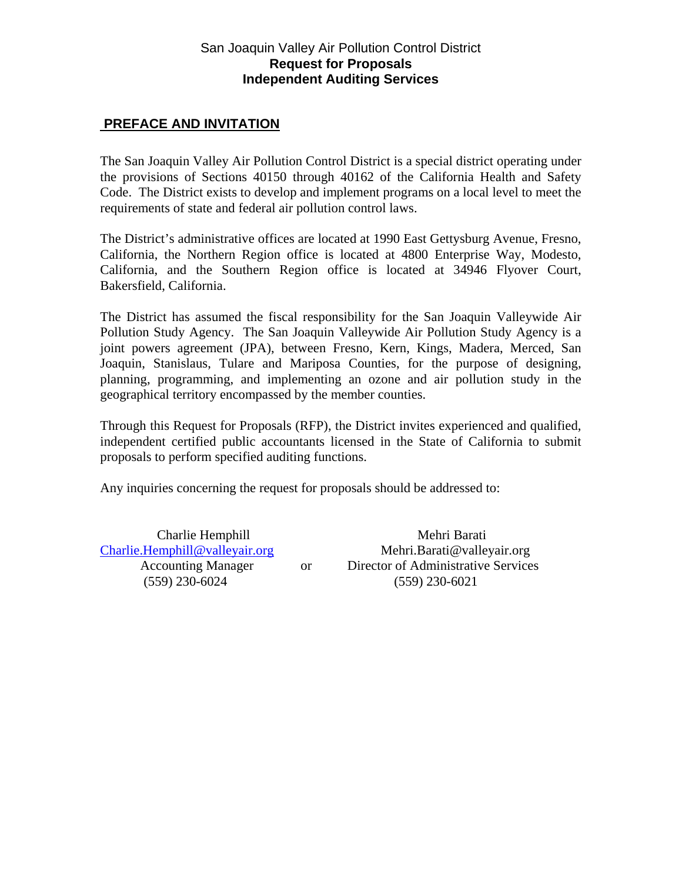## **PREFACE AND INVITATION**

The San Joaquin Valley Air Pollution Control District is a special district operating under the provisions of Sections 40150 through 40162 of the California Health and Safety Code. The District exists to develop and implement programs on a local level to meet the requirements of state and federal air pollution control laws.

The District's administrative offices are located at 1990 East Gettysburg Avenue, Fresno, California, the Northern Region office is located at 4800 Enterprise Way, Modesto, California, and the Southern Region office is located at 34946 Flyover Court, Bakersfield, California.

The District has assumed the fiscal responsibility for the San Joaquin Valleywide Air Pollution Study Agency. The San Joaquin Valleywide Air Pollution Study Agency is a joint powers agreement (JPA), between Fresno, Kern, Kings, Madera, Merced, San Joaquin, Stanislaus, Tulare and Mariposa Counties, for the purpose of designing, planning, programming, and implementing an ozone and air pollution study in the geographical territory encompassed by the member counties.

Through this Request for Proposals (RFP), the District invites experienced and qualified, independent certified public accountants licensed in the State of California to submit proposals to perform specified auditing functions.

Any inquiries concerning the request for proposals should be addressed to:

Charlie Hemphill Mehri Barati Charlie.Hemphill@valleyair.org Mehri.Barati@valleyair.org Accounting Manager or Director of Administrative Services (559) 230-6024 (559) 230-6021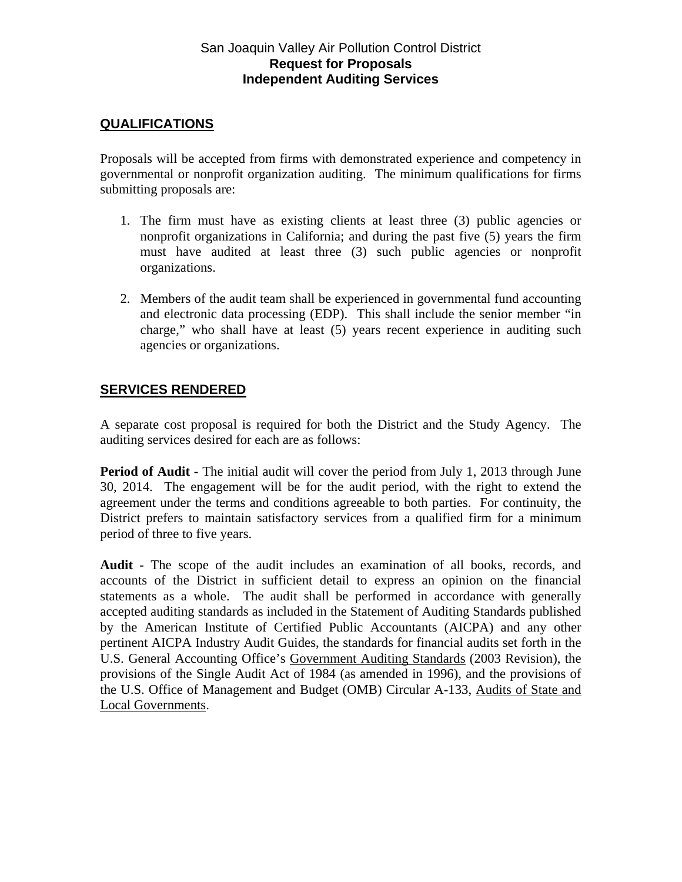## **QUALIFICATIONS**

Proposals will be accepted from firms with demonstrated experience and competency in governmental or nonprofit organization auditing. The minimum qualifications for firms submitting proposals are:

- 1. The firm must have as existing clients at least three (3) public agencies or nonprofit organizations in California; and during the past five (5) years the firm must have audited at least three (3) such public agencies or nonprofit organizations.
- 2. Members of the audit team shall be experienced in governmental fund accounting and electronic data processing (EDP). This shall include the senior member "in charge," who shall have at least (5) years recent experience in auditing such agencies or organizations.

# **SERVICES RENDERED**

A separate cost proposal is required for both the District and the Study Agency. The auditing services desired for each are as follows:

**Period of Audit -** The initial audit will cover the period from July 1, 2013 through June 30, 2014. The engagement will be for the audit period, with the right to extend the agreement under the terms and conditions agreeable to both parties. For continuity, the District prefers to maintain satisfactory services from a qualified firm for a minimum period of three to five years.

**Audit -** The scope of the audit includes an examination of all books, records, and accounts of the District in sufficient detail to express an opinion on the financial statements as a whole. The audit shall be performed in accordance with generally accepted auditing standards as included in the Statement of Auditing Standards published by the American Institute of Certified Public Accountants (AICPA) and any other pertinent AICPA Industry Audit Guides, the standards for financial audits set forth in the U.S. General Accounting Office's Government Auditing Standards (2003 Revision), the provisions of the Single Audit Act of 1984 (as amended in 1996), and the provisions of the U.S. Office of Management and Budget (OMB) Circular A-133, Audits of State and Local Governments.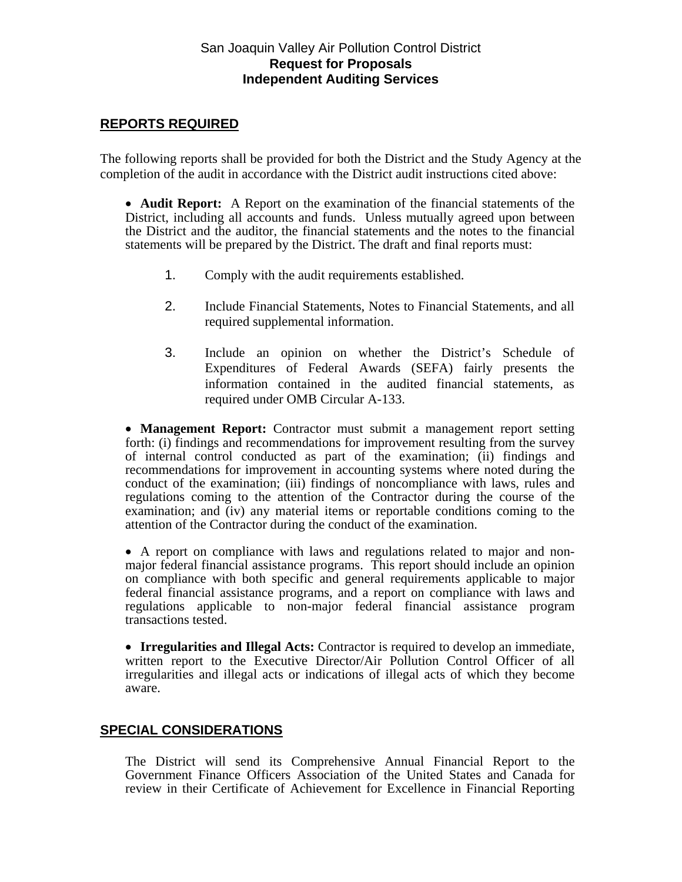## **REPORTS REQUIRED**

The following reports shall be provided for both the District and the Study Agency at the completion of the audit in accordance with the District audit instructions cited above:

 **Audit Report:** A Report on the examination of the financial statements of the District, including all accounts and funds. Unless mutually agreed upon between the District and the auditor, the financial statements and the notes to the financial statements will be prepared by the District. The draft and final reports must:

- 1. Comply with the audit requirements established.
- 2. Include Financial Statements, Notes to Financial Statements, and all required supplemental information.
- 3. Include an opinion on whether the District's Schedule of Expenditures of Federal Awards (SEFA) fairly presents the information contained in the audited financial statements, as required under OMB Circular A-133.

 **Management Report:** Contractor must submit a management report setting forth: (i) findings and recommendations for improvement resulting from the survey of internal control conducted as part of the examination; (ii) findings and recommendations for improvement in accounting systems where noted during the conduct of the examination; (iii) findings of noncompliance with laws, rules and regulations coming to the attention of the Contractor during the course of the examination; and (iv) any material items or reportable conditions coming to the attention of the Contractor during the conduct of the examination.

 A report on compliance with laws and regulations related to major and nonmajor federal financial assistance programs. This report should include an opinion on compliance with both specific and general requirements applicable to major federal financial assistance programs, and a report on compliance with laws and regulations applicable to non-major federal financial assistance program transactions tested.

 **Irregularities and Illegal Acts:** Contractor is required to develop an immediate, written report to the Executive Director/Air Pollution Control Officer of all irregularities and illegal acts or indications of illegal acts of which they become aware.

# **SPECIAL CONSIDERATIONS**

The District will send its Comprehensive Annual Financial Report to the Government Finance Officers Association of the United States and Canada for review in their Certificate of Achievement for Excellence in Financial Reporting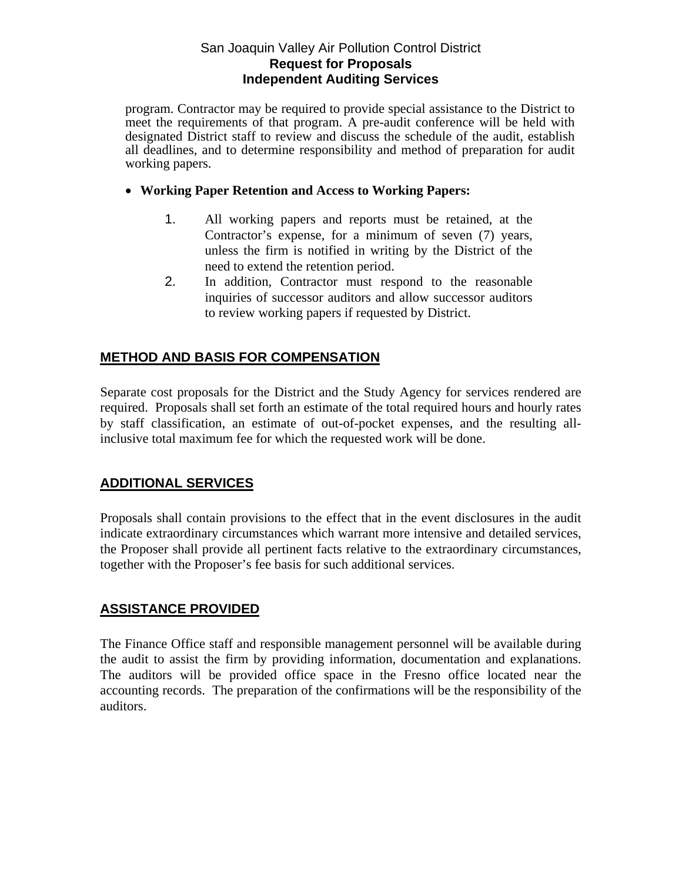program. Contractor may be required to provide special assistance to the District to meet the requirements of that program. A pre-audit conference will be held with designated District staff to review and discuss the schedule of the audit, establish all deadlines, and to determine responsibility and method of preparation for audit working papers.

#### **Working Paper Retention and Access to Working Papers:**

- 1. All working papers and reports must be retained, at the Contractor's expense, for a minimum of seven (7) years, unless the firm is notified in writing by the District of the need to extend the retention period.
- 2. In addition, Contractor must respond to the reasonable inquiries of successor auditors and allow successor auditors to review working papers if requested by District.

# **METHOD AND BASIS FOR COMPENSATION**

Separate cost proposals for the District and the Study Agency for services rendered are required. Proposals shall set forth an estimate of the total required hours and hourly rates by staff classification, an estimate of out-of-pocket expenses, and the resulting allinclusive total maximum fee for which the requested work will be done.

# **ADDITIONAL SERVICES**

Proposals shall contain provisions to the effect that in the event disclosures in the audit indicate extraordinary circumstances which warrant more intensive and detailed services, the Proposer shall provide all pertinent facts relative to the extraordinary circumstances, together with the Proposer's fee basis for such additional services.

## **ASSISTANCE PROVIDED**

The Finance Office staff and responsible management personnel will be available during the audit to assist the firm by providing information, documentation and explanations. The auditors will be provided office space in the Fresno office located near the accounting records. The preparation of the confirmations will be the responsibility of the auditors.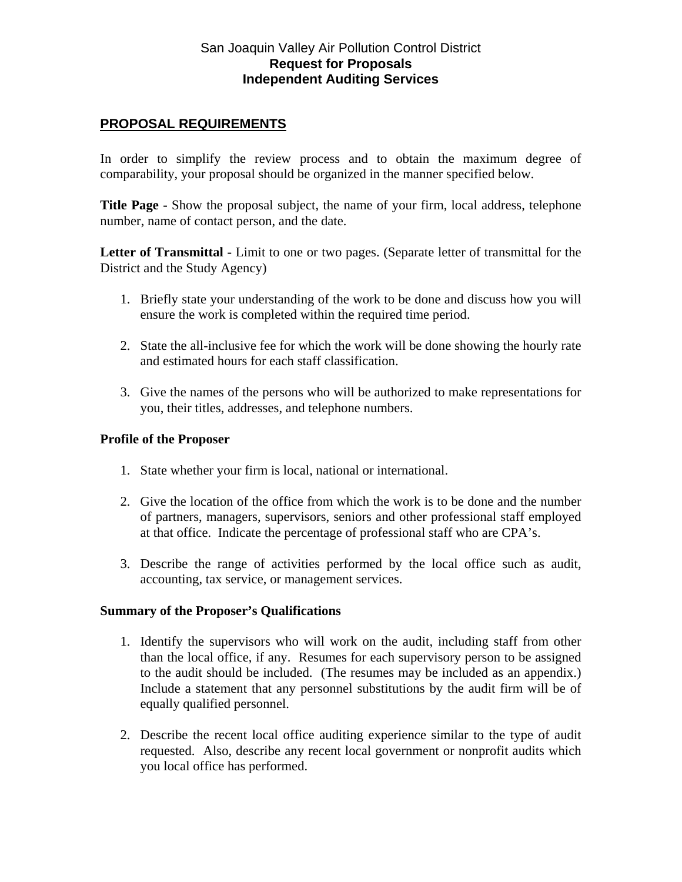## **PROPOSAL REQUIREMENTS**

In order to simplify the review process and to obtain the maximum degree of comparability, your proposal should be organized in the manner specified below.

**Title Page -** Show the proposal subject, the name of your firm, local address, telephone number, name of contact person, and the date.

**Letter of Transmittal -** Limit to one or two pages. (Separate letter of transmittal for the District and the Study Agency)

- 1. Briefly state your understanding of the work to be done and discuss how you will ensure the work is completed within the required time period.
- 2. State the all-inclusive fee for which the work will be done showing the hourly rate and estimated hours for each staff classification.
- 3. Give the names of the persons who will be authorized to make representations for you, their titles, addresses, and telephone numbers.

#### **Profile of the Proposer**

- 1. State whether your firm is local, national or international.
- 2. Give the location of the office from which the work is to be done and the number of partners, managers, supervisors, seniors and other professional staff employed at that office. Indicate the percentage of professional staff who are CPA's.
- 3. Describe the range of activities performed by the local office such as audit, accounting, tax service, or management services.

#### **Summary of the Proposer's Qualifications**

- 1. Identify the supervisors who will work on the audit, including staff from other than the local office, if any. Resumes for each supervisory person to be assigned to the audit should be included. (The resumes may be included as an appendix.) Include a statement that any personnel substitutions by the audit firm will be of equally qualified personnel.
- 2. Describe the recent local office auditing experience similar to the type of audit requested. Also, describe any recent local government or nonprofit audits which you local office has performed.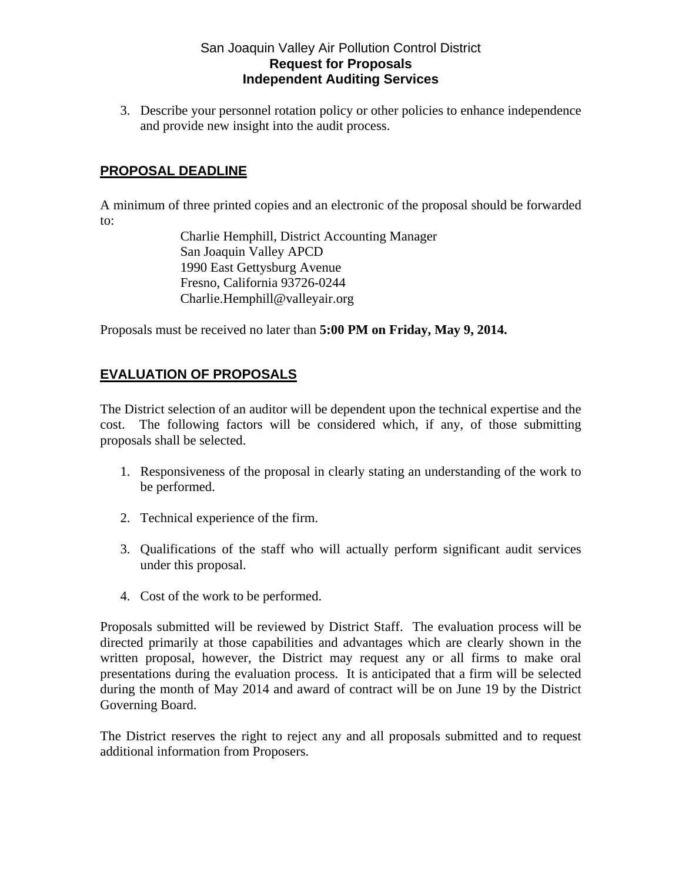3. Describe your personnel rotation policy or other policies to enhance independence and provide new insight into the audit process.

# **PROPOSAL DEADLINE**

A minimum of three printed copies and an electronic of the proposal should be forwarded to:

> Charlie Hemphill, District Accounting Manager San Joaquin Valley APCD 1990 East Gettysburg Avenue Fresno, California 93726-0244 Charlie.Hemphill@valleyair.org

Proposals must be received no later than **5:00 PM on Friday, May 9, 2014.** 

# **EVALUATION OF PROPOSALS**

The District selection of an auditor will be dependent upon the technical expertise and the cost. The following factors will be considered which, if any, of those submitting proposals shall be selected.

- 1. Responsiveness of the proposal in clearly stating an understanding of the work to be performed.
- 2. Technical experience of the firm.
- 3. Qualifications of the staff who will actually perform significant audit services under this proposal.
- 4. Cost of the work to be performed.

Proposals submitted will be reviewed by District Staff. The evaluation process will be directed primarily at those capabilities and advantages which are clearly shown in the written proposal, however, the District may request any or all firms to make oral presentations during the evaluation process. It is anticipated that a firm will be selected during the month of May 2014 and award of contract will be on June 19 by the District Governing Board.

The District reserves the right to reject any and all proposals submitted and to request additional information from Proposers.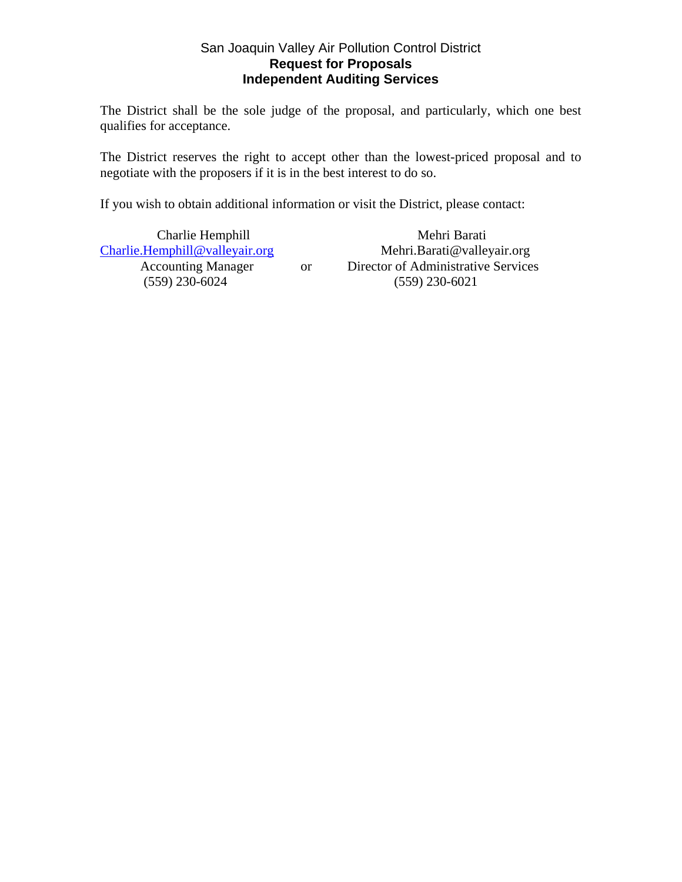The District shall be the sole judge of the proposal, and particularly, which one best qualifies for acceptance.

The District reserves the right to accept other than the lowest-priced proposal and to negotiate with the proposers if it is in the best interest to do so.

If you wish to obtain additional information or visit the District, please contact:

Charlie.Hemphill@valleyair.org Mehri.Barati@valleyair.org

Charlie Hemphill Mehri Barati Accounting Manager or Director of Administrative Services (559) 230-6024 (559) 230-6021